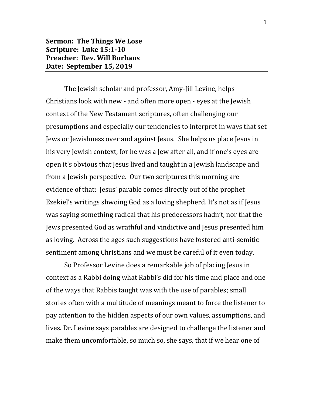## **Sermon: The Things We Lose Scripture: Luke 15:1-10 Preacher: Rev. Will Burhans Date: September 15, 2019**

The Jewish scholar and professor, Amy-Jill Levine, helps Christians look with new - and often more open - eyes at the Jewish context of the New Testament scriptures, often challenging our presumptions and especially our tendencies to interpret in ways that set Jews or Jewishness over and against Jesus. She helps us place Jesus in his very Jewish context, for he was a Jew after all, and if one's eyes are open it's obvious that Jesus lived and taught in a Jewish landscape and from a Jewish perspective. Our two scriptures this morning are evidence of that: Jesus' parable comes directly out of the prophet Ezekiel's writings shwoing God as a loving shepherd. It's not as if Jesus was saying something radical that his predecessors hadn't, nor that the Jews presented God as wrathful and vindictive and Jesus presented him as loving. Across the ages such suggestions have fostered anti-semitic sentiment among Christians and we must be careful of it even today.

So Professor Levine does a remarkable job of placing Jesus in context as a Rabbi doing what Rabbi's did for his time and place and one of the ways that Rabbis taught was with the use of parables; small stories often with a multitude of meanings meant to force the listener to pay attention to the hidden aspects of our own values, assumptions, and lives. Dr. Levine says parables are designed to challenge the listener and make them uncomfortable, so much so, she says, that if we hear one of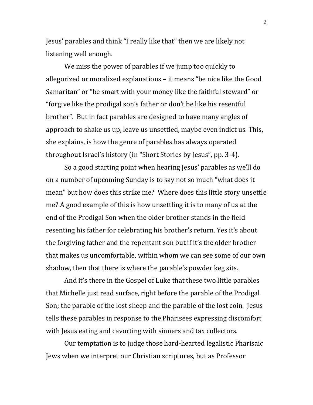Jesus' parables and think "I really like that" then we are likely not listening well enough.

We miss the power of parables if we jump too quickly to allegorized or moralized explanations – it means "be nice like the Good Samaritan" or "be smart with your money like the faithful steward" or "forgive like the prodigal son's father or don't be like his resentful brother". But in fact parables are designed to have many angles of approach to shake us up, leave us unsettled, maybe even indict us. This, she explains, is how the genre of parables has always operated throughout Israel's history (in "Short Stories by Jesus", pp. 3-4).

So a good starting point when hearing Jesus' parables as we'll do on a number of upcoming Sunday is to say not so much "what does it mean" but how does this strike me? Where does this little story unsettle me? A good example of this is how unsettling it is to many of us at the end of the Prodigal Son when the older brother stands in the field resenting his father for celebrating his brother's return. Yes it's about the forgiving father and the repentant son but if it's the older brother that makes us uncomfortable, within whom we can see some of our own shadow, then that there is where the parable's powder keg sits.

And it's there in the Gospel of Luke that these two little parables that Michelle just read surface, right before the parable of the Prodigal Son; the parable of the lost sheep and the parable of the lost coin. Jesus tells these parables in response to the Pharisees expressing discomfort with Jesus eating and cavorting with sinners and tax collectors.

Our temptation is to judge those hard-hearted legalistic Pharisaic Jews when we interpret our Christian scriptures, but as Professor

2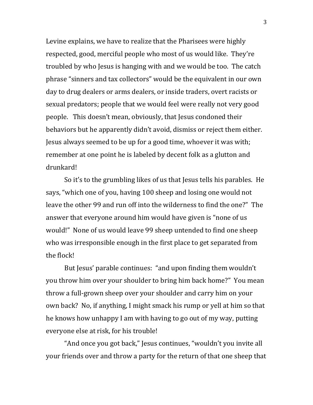Levine explains, we have to realize that the Pharisees were highly respected, good, merciful people who most of us would like. They're troubled by who Jesus is hanging with and we would be too. The catch phrase "sinners and tax collectors" would be the equivalent in our own day to drug dealers or arms dealers, or inside traders, overt racists or sexual predators; people that we would feel were really not very good people. This doesn't mean, obviously, that Jesus condoned their behaviors but he apparently didn't avoid, dismiss or reject them either. Jesus always seemed to be up for a good time, whoever it was with; remember at one point he is labeled by decent folk as a glutton and drunkard!

So it's to the grumbling likes of us that Jesus tells his parables. He says, "which one of you, having 100 sheep and losing one would not leave the other 99 and run off into the wilderness to find the one?" The answer that everyone around him would have given is "none of us would!" None of us would leave 99 sheep untended to find one sheep who was irresponsible enough in the first place to get separated from the flock!

But Jesus' parable continues: "and upon finding them wouldn't you throw him over your shoulder to bring him back home?" You mean throw a full-grown sheep over your shoulder and carry him on your own back? No, if anything, I might smack his rump or yell at him so that he knows how unhappy I am with having to go out of my way, putting everyone else at risk, for his trouble!

"And once you got back," Jesus continues, "wouldn't you invite all your friends over and throw a party for the return of that one sheep that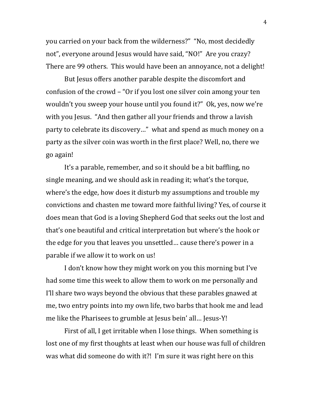you carried on your back from the wilderness?" "No, most decidedly not", everyone around Jesus would have said, "NO!" Are you crazy? There are 99 others. This would have been an annoyance, not a delight!

But Jesus offers another parable despite the discomfort and confusion of the crowd – "Or if you lost one silver coin among your ten wouldn't you sweep your house until you found it?" Ok, yes, now we're with you Jesus. "And then gather all your friends and throw a lavish party to celebrate its discovery…" what and spend as much money on a party as the silver coin was worth in the first place? Well, no, there we go again!

It's a parable, remember, and so it should be a bit baffling, no single meaning, and we should ask in reading it; what's the torque, where's the edge, how does it disturb my assumptions and trouble my convictions and chasten me toward more faithful living? Yes, of course it does mean that God is a loving Shepherd God that seeks out the lost and that's one beautiful and critical interpretation but where's the hook or the edge for you that leaves you unsettled… cause there's power in a parable if we allow it to work on us!

I don't know how they might work on you this morning but I've had some time this week to allow them to work on me personally and I'll share two ways beyond the obvious that these parables gnawed at me, two entry points into my own life, two barbs that hook me and lead me like the Pharisees to grumble at Jesus bein' all… Jesus-Y!

First of all, I get irritable when I lose things. When something is lost one of my first thoughts at least when our house was full of children was what did someone do with it?! I'm sure it was right here on this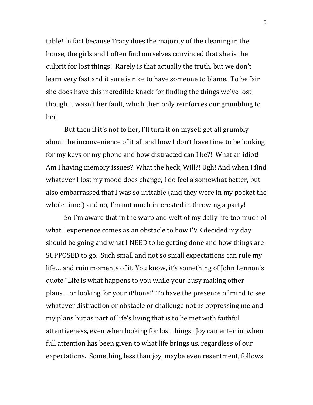table! In fact because Tracy does the majority of the cleaning in the house, the girls and I often find ourselves convinced that she is the culprit for lost things! Rarely is that actually the truth, but we don't learn very fast and it sure is nice to have someone to blame. To be fair she does have this incredible knack for finding the things we've lost though it wasn't her fault, which then only reinforces our grumbling to her.

But then if it's not to her, I'll turn it on myself get all grumbly about the inconvenience of it all and how I don't have time to be looking for my keys or my phone and how distracted can I be?! What an idiot! Am I having memory issues? What the heck, Will?! Ugh! And when I find whatever I lost my mood does change, I do feel a somewhat better, but also embarrassed that I was so irritable (and they were in my pocket the whole time!) and no, I'm not much interested in throwing a party!

So I'm aware that in the warp and weft of my daily life too much of what I experience comes as an obstacle to how I'VE decided my day should be going and what I NEED to be getting done and how things are SUPPOSED to go. Such small and not so small expectations can rule my life… and ruin moments of it. You know, it's something of John Lennon's quote "Life is what happens to you while your busy making other plans… or looking for your iPhone!" To have the presence of mind to see whatever distraction or obstacle or challenge not as oppressing me and my plans but as part of life's living that is to be met with faithful attentiveness, even when looking for lost things. Joy can enter in, when full attention has been given to what life brings us, regardless of our expectations. Something less than joy, maybe even resentment, follows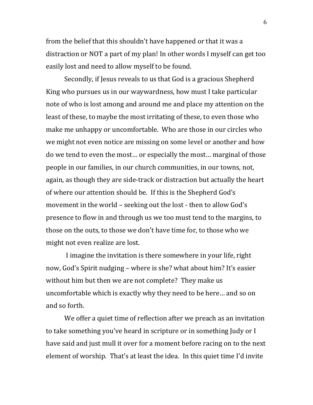from the belief that this shouldn't have happened or that it was a distraction or NOT a part of my plan! In other words I myself can get too easily lost and need to allow myself to be found.

Secondly, if Jesus reveals to us that God is a gracious Shepherd King who pursues us in our waywardness, how must I take particular note of who is lost among and around me and place my attention on the least of these, to maybe the most irritating of these, to even those who make me unhappy or uncomfortable. Who are those in our circles who we might not even notice are missing on some level or another and how do we tend to even the most… or especially the most… marginal of those people in our families, in our church communities, in our towns, not, again, as though they are side-track or distraction but actually the heart of where our attention should be. If this is the Shepherd God's movement in the world – seeking out the lost - then to allow God's presence to flow in and through us we too must tend to the margins, to those on the outs, to those we don't have time for, to those who we might not even realize are lost.

I imagine the invitation is there somewhere in your life, right now, God's Spirit nudging – where is she? what about him? It's easier without him but then we are not complete? They make us uncomfortable which is exactly why they need to be here… and so on and so forth.

We offer a quiet time of reflection after we preach as an invitation to take something you've heard in scripture or in something Judy or I have said and just mull it over for a moment before racing on to the next element of worship. That's at least the idea. In this quiet time I'd invite